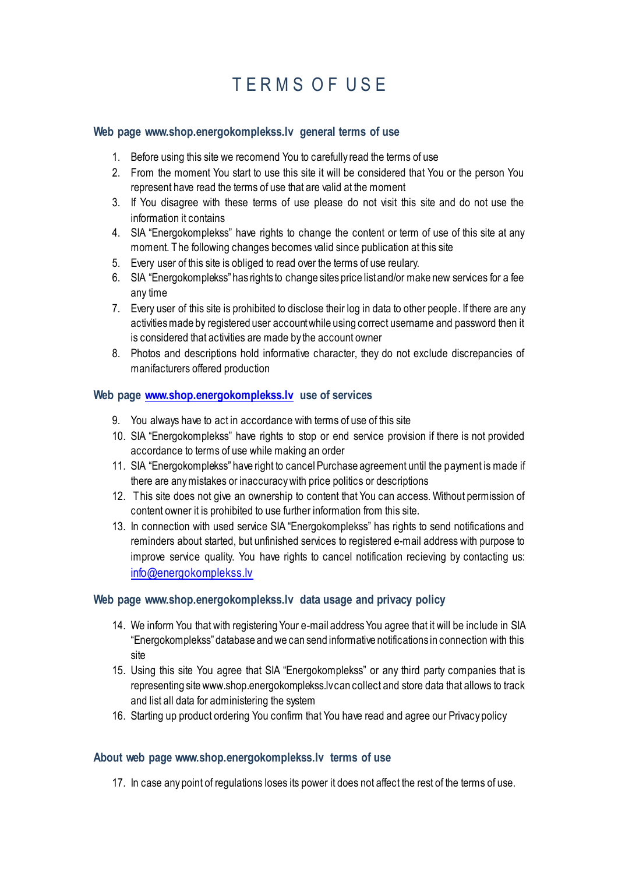# TERMS OF USE

#### **Web page www.shop.energokomplekss.lv general terms of use**

- 1. Before using this site we recomend You to carefully read the terms of use
- 2. From the moment You start to use this site it will be considered that You or the person You represent have read the terms of use that are valid at the moment
- 3. If You disagree with these terms of use please do not visit this site and do not use the information it contains
- 4. SIA "Energokomplekss" have rights to change the content or term of use of this site at any moment. The following changes becomes valid since publication at this site
- 5. Every user of this site is obliged to read over the terms of use reulary.
- 6. SIA "Energokomplekss" has rights to change sites price list and/or make new services for a fee any time
- 7. Every user of this site is prohibited to disclose their log in data to other people. If there are any activities made by registered user account while using correct username and password then it is considered that activities are made by the account owner
- 8. Photos and descriptions hold informative character, they do not exclude discrepancies of manifacturers offered production

## **Web page [www.shop.energokomplekss.lv](http://www.shop.energokomplekss.lv/) use of services**

- 9. You always have to act in accordance with terms of use of this site
- 10. SIA "Energokomplekss" have rights to stop or end service provision if there is not provided accordance to terms of use while making an order
- 11. SIA "Energokomplekss" have right to cancel Purchase agreement until the payment is made if there are any mistakes or inaccuracy with price politics or descriptions
- 12. This site does not give an ownership to content that You can access. Without permission of content owner it is prohibited to use further information from this site.
- 13. In connection with used service SIA "Energokomplekss" has rights to send notifications and reminders about started, but unfinished services to registered e-mail address with purpose to improve service quality. You have rights to cancel notification recieving by contacting us: [info@energokomplekss.lv](mailto:info@energokomplekss.lv)

## **Web page www.shop.energokomplekss.lv data usage and privacy policy**

- 14. We inform You that with registering Your e-mail address You agree that it will be include in SIA "Energokomplekss" database and we can send informative notifications in connection with this site
- 15. Using this site You agree that SIA "Energokomplekss" or any third party companies that is representing site www.shop.energokomplekss.lv can collect and store data that allows to track and list all data for administering the system
- 16. Starting up product ordering You confirm that You have read and agree our Privacy policy

#### **About web page www.shop.energokomplekss.lv terms of use**

17. In case any point of regulations loses its power it does not affect the rest of the terms of use.